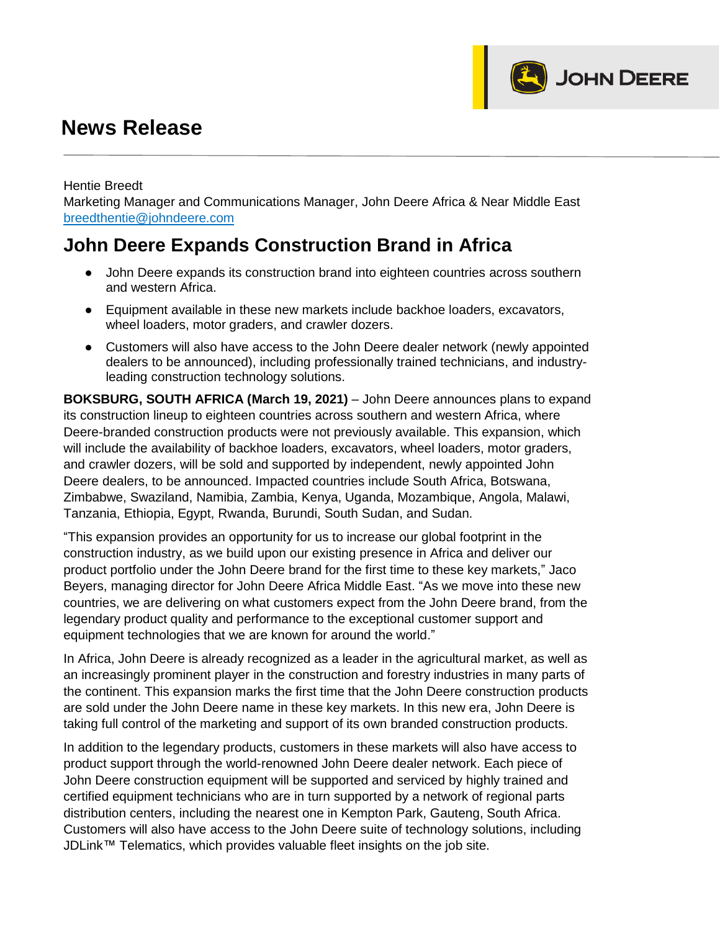## **News Release**

Hentie Breedt

Marketing Manager and Communications Manager, John Deere Africa & Near Middle East [breedthentie@johndeere.com](mailto:breedthentie@johndeere.com)

JOHN DEERE

## **John Deere Expands Construction Brand in Africa**

- John Deere expands its construction brand into eighteen countries across southern and western Africa.
- Equipment available in these new markets include backhoe loaders, excavators, wheel loaders, motor graders, and crawler dozers.
- Customers will also have access to the John Deere dealer network (newly appointed dealers to be announced), including professionally trained technicians, and industryleading construction technology solutions.

**BOKSBURG, SOUTH AFRICA (March 19, 2021)** – John Deere announces plans to expand its construction lineup to eighteen countries across southern and western Africa, where Deere-branded construction products were not previously available. This expansion, which will include the availability of backhoe loaders, excavators, wheel loaders, motor graders, and crawler dozers, will be sold and supported by independent, newly appointed John Deere dealers, to be announced. Impacted countries include South Africa, Botswana, Zimbabwe, Swaziland, Namibia, Zambia, Kenya, Uganda, Mozambique, Angola, Malawi, Tanzania, Ethiopia, Egypt, Rwanda, Burundi, South Sudan, and Sudan.

"This expansion provides an opportunity for us to increase our global footprint in the construction industry, as we build upon our existing presence in Africa and deliver our product portfolio under the John Deere brand for the first time to these key markets," Jaco Beyers, managing director for John Deere Africa Middle East. "As we move into these new countries, we are delivering on what customers expect from the John Deere brand, from the legendary product quality and performance to the exceptional customer support and equipment technologies that we are known for around the world."

In Africa, John Deere is already recognized as a leader in the agricultural market, as well as an increasingly prominent player in the construction and forestry industries in many parts of the continent. This expansion marks the first time that the John Deere construction products are sold under the John Deere name in these key markets. In this new era, John Deere is taking full control of the marketing and support of its own branded construction products.

In addition to the legendary products, customers in these markets will also have access to product support through the world-renowned John Deere dealer network. Each piece of John Deere construction equipment will be supported and serviced by highly trained and certified equipment technicians who are in turn supported by a network of regional parts distribution centers, including the nearest one in Kempton Park, Gauteng, South Africa. Customers will also have access to the John Deere suite of technology solutions, including JDLink™ Telematics, which provides valuable fleet insights on the job site.